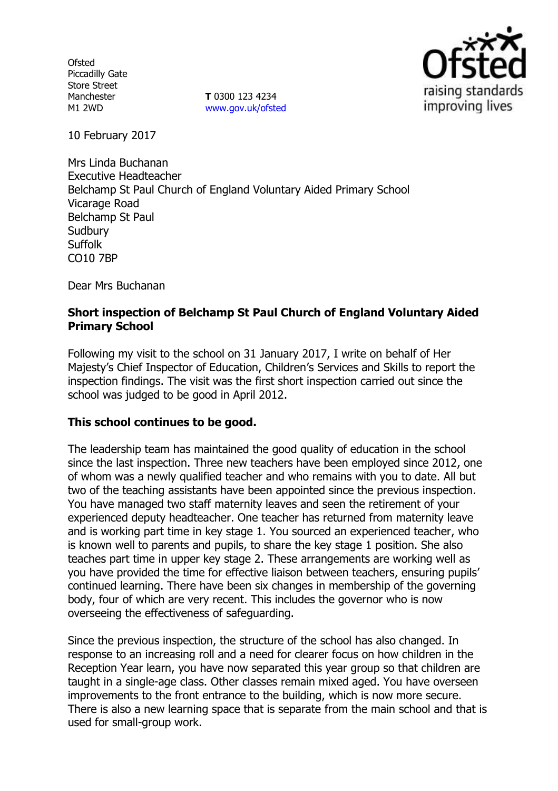**Ofsted** Piccadilly Gate Store Street Manchester M1 2WD

**T** 0300 123 4234 [www.gov.uk/ofsted](http://www.gov.uk/ofsted)



10 February 2017

Mrs Linda Buchanan Executive Headteacher Belchamp St Paul Church of England Voluntary Aided Primary School Vicarage Road Belchamp St Paul **Sudbury** Suffolk CO10 7BP

Dear Mrs Buchanan

# **Short inspection of Belchamp St Paul Church of England Voluntary Aided Primary School**

Following my visit to the school on 31 January 2017, I write on behalf of Her Majesty's Chief Inspector of Education, Children's Services and Skills to report the inspection findings. The visit was the first short inspection carried out since the school was judged to be good in April 2012.

### **This school continues to be good.**

The leadership team has maintained the good quality of education in the school since the last inspection. Three new teachers have been employed since 2012, one of whom was a newly qualified teacher and who remains with you to date. All but two of the teaching assistants have been appointed since the previous inspection. You have managed two staff maternity leaves and seen the retirement of your experienced deputy headteacher. One teacher has returned from maternity leave and is working part time in key stage 1. You sourced an experienced teacher, who is known well to parents and pupils, to share the key stage 1 position. She also teaches part time in upper key stage 2. These arrangements are working well as you have provided the time for effective liaison between teachers, ensuring pupils' continued learning. There have been six changes in membership of the governing body, four of which are very recent. This includes the governor who is now overseeing the effectiveness of safeguarding.

Since the previous inspection, the structure of the school has also changed. In response to an increasing roll and a need for clearer focus on how children in the Reception Year learn, you have now separated this year group so that children are taught in a single-age class. Other classes remain mixed aged. You have overseen improvements to the front entrance to the building, which is now more secure. There is also a new learning space that is separate from the main school and that is used for small-group work.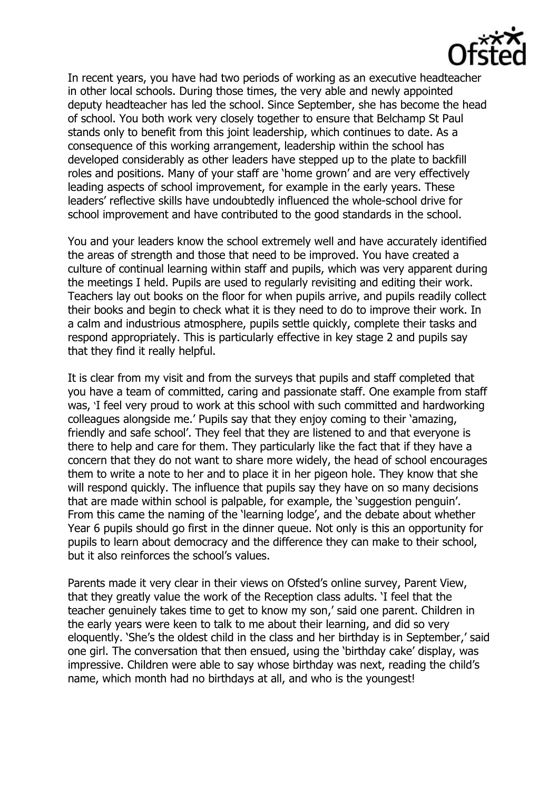

In recent years, you have had two periods of working as an executive headteacher in other local schools. During those times, the very able and newly appointed deputy headteacher has led the school. Since September, she has become the head of school. You both work very closely together to ensure that Belchamp St Paul stands only to benefit from this joint leadership, which continues to date. As a consequence of this working arrangement, leadership within the school has developed considerably as other leaders have stepped up to the plate to backfill roles and positions. Many of your staff are 'home grown' and are very effectively leading aspects of school improvement, for example in the early years. These leaders' reflective skills have undoubtedly influenced the whole-school drive for school improvement and have contributed to the good standards in the school.

You and your leaders know the school extremely well and have accurately identified the areas of strength and those that need to be improved. You have created a culture of continual learning within staff and pupils, which was very apparent during the meetings I held. Pupils are used to regularly revisiting and editing their work. Teachers lay out books on the floor for when pupils arrive, and pupils readily collect their books and begin to check what it is they need to do to improve their work. In a calm and industrious atmosphere, pupils settle quickly, complete their tasks and respond appropriately. This is particularly effective in key stage 2 and pupils say that they find it really helpful.

It is clear from my visit and from the surveys that pupils and staff completed that you have a team of committed, caring and passionate staff. One example from staff was, 'I feel very proud to work at this school with such committed and hardworking colleagues alongside me.' Pupils say that they enjoy coming to their 'amazing, friendly and safe school'. They feel that they are listened to and that everyone is there to help and care for them. They particularly like the fact that if they have a concern that they do not want to share more widely, the head of school encourages them to write a note to her and to place it in her pigeon hole. They know that she will respond quickly. The influence that pupils say they have on so many decisions that are made within school is palpable, for example, the 'suggestion penguin'. From this came the naming of the 'learning lodge', and the debate about whether Year 6 pupils should go first in the dinner queue. Not only is this an opportunity for pupils to learn about democracy and the difference they can make to their school, but it also reinforces the school's values.

Parents made it very clear in their views on Ofsted's online survey, Parent View, that they greatly value the work of the Reception class adults. 'I feel that the teacher genuinely takes time to get to know my son,' said one parent. Children in the early years were keen to talk to me about their learning, and did so very eloquently. 'She's the oldest child in the class and her birthday is in September,' said one girl. The conversation that then ensued, using the 'birthday cake' display, was impressive. Children were able to say whose birthday was next, reading the child's name, which month had no birthdays at all, and who is the youngest!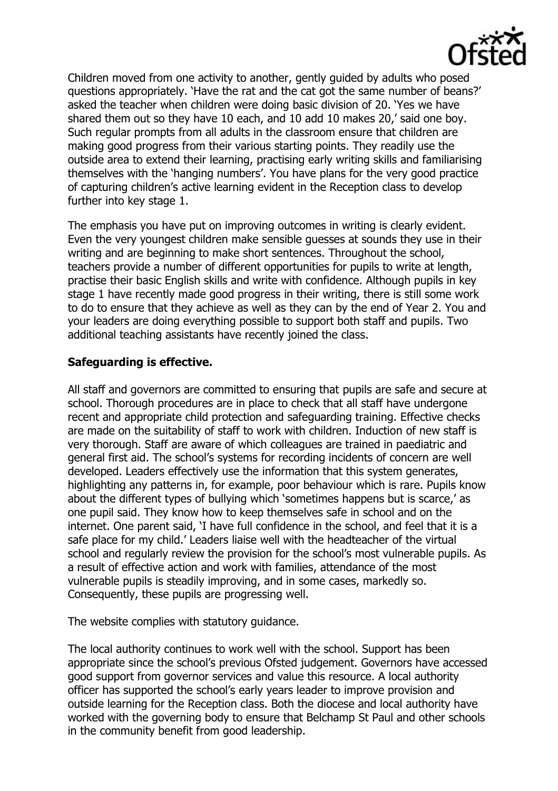

Children moved from one activity to another, gently guided by adults who posed questions appropriately. 'Have the rat and the cat got the same number of beans?' asked the teacher when children were doing basic division of 20. 'Yes we have shared them out so they have 10 each, and 10 add 10 makes 20,' said one boy. Such regular prompts from all adults in the classroom ensure that children are making good progress from their various starting points. They readily use the outside area to extend their learning, practising early writing skills and familiarising themselves with the 'hanging numbers'. You have plans for the very good practice of capturing children's active learning evident in the Reception class to develop further into key stage 1.

The emphasis you have put on improving outcomes in writing is clearly evident. Even the very youngest children make sensible guesses at sounds they use in their writing and are beginning to make short sentences. Throughout the school, teachers provide a number of different opportunities for pupils to write at length, practise their basic English skills and write with confidence. Although pupils in key stage 1 have recently made good progress in their writing, there is still some work to do to ensure that they achieve as well as they can by the end of Year 2. You and your leaders are doing everything possible to support both staff and pupils. Two additional teaching assistants have recently joined the class.

# **Safeguarding is effective.**

All staff and governors are committed to ensuring that pupils are safe and secure at school. Thorough procedures are in place to check that all staff have undergone recent and appropriate child protection and safeguarding training. Effective checks are made on the suitability of staff to work with children. Induction of new staff is very thorough. Staff are aware of which colleagues are trained in paediatric and general first aid. The school's systems for recording incidents of concern are well developed. Leaders effectively use the information that this system generates, highlighting any patterns in, for example, poor behaviour which is rare. Pupils know about the different types of bullying which 'sometimes happens but is scarce,' as one pupil said. They know how to keep themselves safe in school and on the internet. One parent said, 'I have full confidence in the school, and feel that it is a safe place for my child.' Leaders liaise well with the headteacher of the virtual school and regularly review the provision for the school's most vulnerable pupils. As a result of effective action and work with families, attendance of the most vulnerable pupils is steadily improving, and in some cases, markedly so. Consequently, these pupils are progressing well.

The website complies with statutory guidance.

The local authority continues to work well with the school. Support has been appropriate since the school's previous Ofsted judgement. Governors have accessed good support from governor services and value this resource. A local authority officer has supported the school's early years leader to improve provision and outside learning for the Reception class. Both the diocese and local authority have worked with the governing body to ensure that Belchamp St Paul and other schools in the community benefit from good leadership.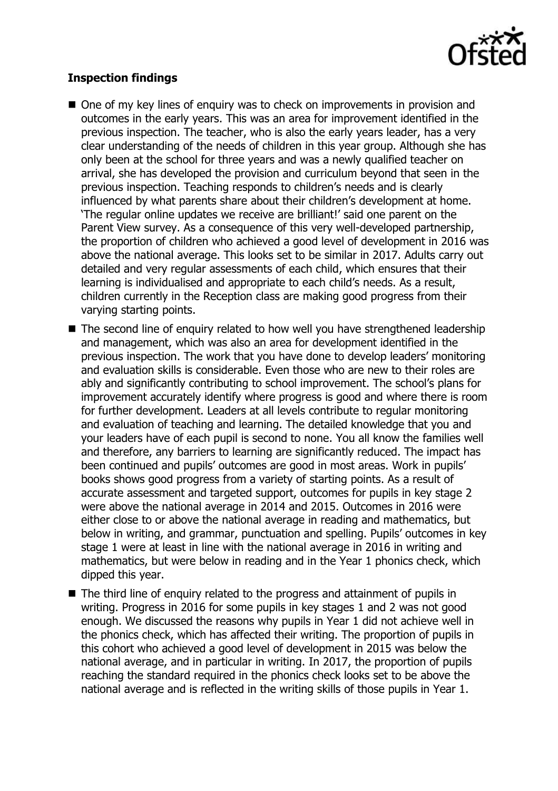

# **Inspection findings**

- One of my key lines of enquiry was to check on improvements in provision and outcomes in the early years. This was an area for improvement identified in the previous inspection. The teacher, who is also the early years leader, has a very clear understanding of the needs of children in this year group. Although she has only been at the school for three years and was a newly qualified teacher on arrival, she has developed the provision and curriculum beyond that seen in the previous inspection. Teaching responds to children's needs and is clearly influenced by what parents share about their children's development at home. 'The regular online updates we receive are brilliant!' said one parent on the Parent View survey. As a consequence of this very well-developed partnership, the proportion of children who achieved a good level of development in 2016 was above the national average. This looks set to be similar in 2017. Adults carry out detailed and very regular assessments of each child, which ensures that their learning is individualised and appropriate to each child's needs. As a result, children currently in the Reception class are making good progress from their varying starting points.
- The second line of enquiry related to how well you have strengthened leadership and management, which was also an area for development identified in the previous inspection. The work that you have done to develop leaders' monitoring and evaluation skills is considerable. Even those who are new to their roles are ably and significantly contributing to school improvement. The school's plans for improvement accurately identify where progress is good and where there is room for further development. Leaders at all levels contribute to regular monitoring and evaluation of teaching and learning. The detailed knowledge that you and your leaders have of each pupil is second to none. You all know the families well and therefore, any barriers to learning are significantly reduced. The impact has been continued and pupils' outcomes are good in most areas. Work in pupils' books shows good progress from a variety of starting points. As a result of accurate assessment and targeted support, outcomes for pupils in key stage 2 were above the national average in 2014 and 2015. Outcomes in 2016 were either close to or above the national average in reading and mathematics, but below in writing, and grammar, punctuation and spelling. Pupils' outcomes in key stage 1 were at least in line with the national average in 2016 in writing and mathematics, but were below in reading and in the Year 1 phonics check, which dipped this year.
- The third line of enquiry related to the progress and attainment of pupils in writing. Progress in 2016 for some pupils in key stages 1 and 2 was not good enough. We discussed the reasons why pupils in Year 1 did not achieve well in the phonics check, which has affected their writing. The proportion of pupils in this cohort who achieved a good level of development in 2015 was below the national average, and in particular in writing. In 2017, the proportion of pupils reaching the standard required in the phonics check looks set to be above the national average and is reflected in the writing skills of those pupils in Year 1.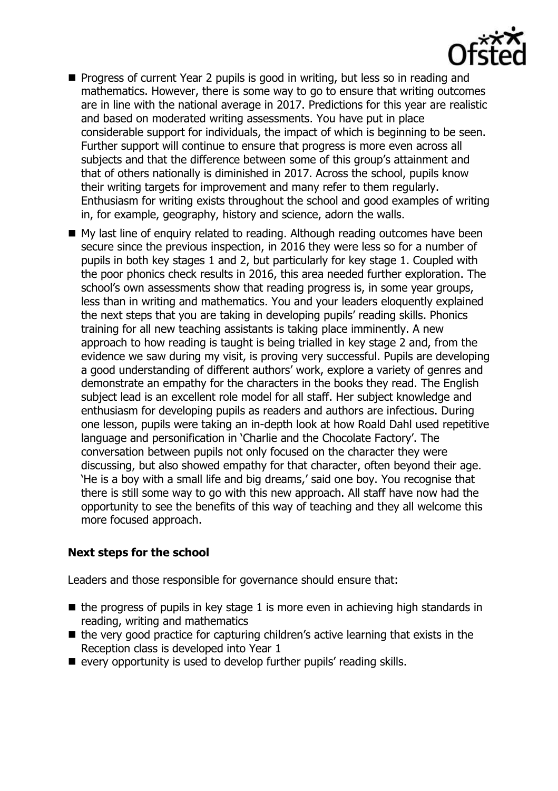

- **Progress of current Year 2 pupils is good in writing, but less so in reading and** mathematics. However, there is some way to go to ensure that writing outcomes are in line with the national average in 2017. Predictions for this year are realistic and based on moderated writing assessments. You have put in place considerable support for individuals, the impact of which is beginning to be seen. Further support will continue to ensure that progress is more even across all subjects and that the difference between some of this group's attainment and that of others nationally is diminished in 2017. Across the school, pupils know their writing targets for improvement and many refer to them regularly. Enthusiasm for writing exists throughout the school and good examples of writing in, for example, geography, history and science, adorn the walls.
- My last line of enquiry related to reading. Although reading outcomes have been secure since the previous inspection, in 2016 they were less so for a number of pupils in both key stages 1 and 2, but particularly for key stage 1. Coupled with the poor phonics check results in 2016, this area needed further exploration. The school's own assessments show that reading progress is, in some year groups, less than in writing and mathematics. You and your leaders eloquently explained the next steps that you are taking in developing pupils' reading skills. Phonics training for all new teaching assistants is taking place imminently. A new approach to how reading is taught is being trialled in key stage 2 and, from the evidence we saw during my visit, is proving very successful. Pupils are developing a good understanding of different authors' work, explore a variety of genres and demonstrate an empathy for the characters in the books they read. The English subject lead is an excellent role model for all staff. Her subject knowledge and enthusiasm for developing pupils as readers and authors are infectious. During one lesson, pupils were taking an in-depth look at how Roald Dahl used repetitive language and personification in 'Charlie and the Chocolate Factory'. The conversation between pupils not only focused on the character they were discussing, but also showed empathy for that character, often beyond their age. 'He is a boy with a small life and big dreams,' said one boy. You recognise that there is still some way to go with this new approach. All staff have now had the opportunity to see the benefits of this way of teaching and they all welcome this more focused approach.

# **Next steps for the school**

Leaders and those responsible for governance should ensure that:

- $\blacksquare$  the progress of pupils in key stage 1 is more even in achieving high standards in reading, writing and mathematics
- $\blacksquare$  the very good practice for capturing children's active learning that exists in the Reception class is developed into Year 1
- every opportunity is used to develop further pupils' reading skills.